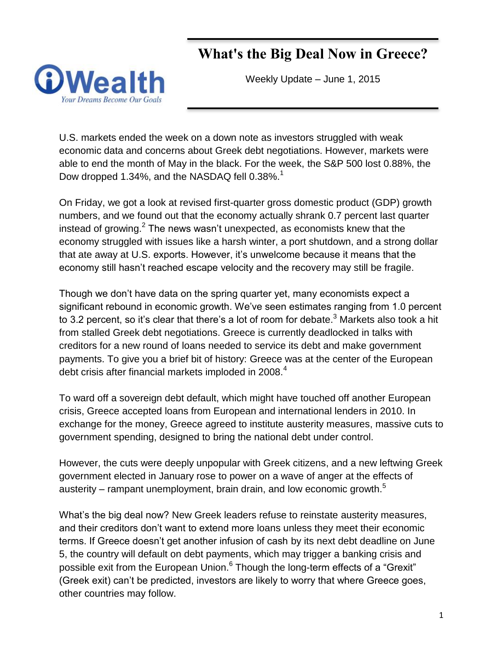# **What's the Big Deal Now in Greece?**



Weekly Update – June 1, 2015

U.S. markets ended the week on a down note as investors struggled with weak economic data and concerns about Greek debt negotiations. However, markets were able to end the month of May in the black. For the week, the S&P 500 lost 0.88%, the Dow dropped 1.34%, and the NASDAQ fell 0.38%.<sup>1</sup>

On Friday, we got a look at revised first-quarter gross domestic product (GDP) growth numbers, and we found out that the economy actually shrank 0.7 percent last quarter instead of growing.<sup>2</sup> The news wasn't unexpected, as economists knew that the economy struggled with issues like a harsh winter, a port shutdown, and a strong dollar that ate away at U.S. exports. However, it's unwelcome because it means that the economy still hasn't reached escape velocity and the recovery may still be fragile.

Though we don't have data on the spring quarter yet, many economists expect a significant rebound in economic growth. We've seen estimates ranging from 1.0 percent to 3.2 percent, so it's clear that there's a lot of room for debate.<sup>3</sup> Markets also took a hit from stalled Greek debt negotiations. Greece is currently deadlocked in talks with creditors for a new round of loans needed to service its debt and make government payments. To give you a brief bit of history: Greece was at the center of the European debt crisis after financial markets imploded in 2008.<sup>4</sup>

To ward off a sovereign debt default, which might have touched off another European crisis, Greece accepted loans from European and international lenders in 2010. In exchange for the money, Greece agreed to institute austerity measures, massive cuts to government spending, designed to bring the national debt under control.

However, the cuts were deeply unpopular with Greek citizens, and a new leftwing Greek government elected in January rose to power on a wave of anger at the effects of austerity – rampant unemployment, brain drain, and low economic growth.<sup>5</sup>

What's the big deal now? New Greek leaders refuse to reinstate austerity measures, and their creditors don't want to extend more loans unless they meet their economic terms. If Greece doesn't get another infusion of cash by its next debt deadline on June 5, the country will default on debt payments, which may trigger a banking crisis and possible exit from the European Union.<sup>6</sup> Though the long-term effects of a "Grexit" (Greek exit) can't be predicted, investors are likely to worry that where Greece goes, other countries may follow.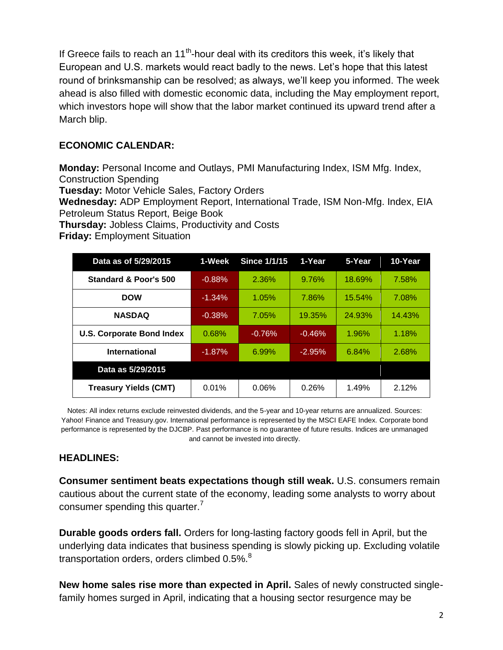If Greece fails to reach an  $11<sup>th</sup>$ -hour deal with its creditors this week, it's likely that European and U.S. markets would react badly to the news. Let's hope that this latest round of brinksmanship can be resolved; as always, we'll keep you informed. The week ahead is also filled with domestic economic data, including the May employment report, which investors hope will show that the labor market continued its upward trend after a March blip.

# **ECONOMIC CALENDAR:**

**Monday:** Personal Income and Outlays, PMI Manufacturing Index, ISM Mfg. Index, Construction Spending

**Tuesday:** Motor Vehicle Sales, Factory Orders

**Wednesday:** ADP Employment Report, International Trade, ISM Non-Mfg. Index, EIA Petroleum Status Report, Beige Book

**Thursday:** Jobless Claims, Productivity and Costs

| Data as of 5/29/2015             | 1-Week    | <b>Since 1/1/15</b> | 1-Year   | 5-Year | 10-Year |
|----------------------------------|-----------|---------------------|----------|--------|---------|
| Standard & Poor's 500            | $-0.88%$  | 2.36%               | 9.76%    | 18.69% | 7.58%   |
| <b>DOW</b>                       | $-1.34\%$ | 1.05%               | 7.86%    | 15.54% | 7.08%   |
| <b>NASDAQ</b>                    | $-0.38%$  | 7.05%               | 19.35%   | 24.93% | 14.43%  |
| <b>U.S. Corporate Bond Index</b> | 0.68%     | $-0.76%$            | $-0.46%$ | 1.96%  | 1.18%   |
| <b>International</b>             | $-1.87%$  | 6.99%               | $-2.95%$ | 6.84%  | 2.68%   |
| Data as 5/29/2015                |           |                     |          |        |         |
| <b>Treasury Yields (CMT)</b>     | 0.01%     | 0.06%               | 0.26%    | 1.49%  | 2.12%   |

**Friday:** Employment Situation

Notes: All index returns exclude reinvested dividends, and the 5-year and 10-year returns are annualized. Sources: Yahoo! Finance and [Treasury.gov.](http://treasury.gov/) International performance is represented by the MSCI EAFE Index. Corporate bond performance is represented by the DJCBP. Past performance is no guarantee of future results. Indices are unmanaged and cannot be invested into directly.

# **HEADLINES:**

**Consumer sentiment beats expectations though still weak.** U.S. consumers remain cautious about the current state of the economy, leading some analysts to worry about consumer spending this quarter.<sup>7</sup>

**Durable goods orders fall.** Orders for long-lasting factory goods fell in April, but the underlying data indicates that business spending is slowly picking up. Excluding volatile transportation orders, orders climbed  $0.5\%$ .<sup>8</sup>

**New home sales rise more than expected in April.** Sales of newly constructed singlefamily homes surged in April, indicating that a housing sector resurgence may be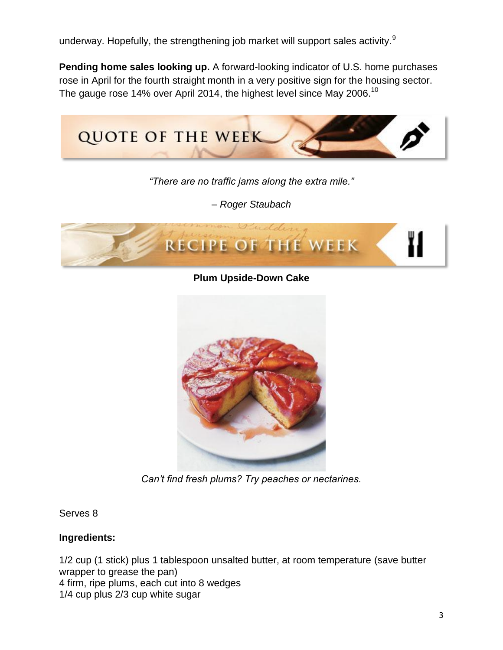underway. Hopefully, the strengthening job market will support sales activity.<sup>9</sup>

**Pending home sales looking up.** A forward-looking indicator of U.S. home purchases rose in April for the fourth straight month in a very positive sign for the housing sector. The gauge rose 14% over April 2014, the highest level since May 2006.<sup>10</sup>



*"There are no traffic jams along the extra mile."* 

*– Roger Staubach*



**Plum Upside-Down Cake**



*Can't find fresh plums? Try peaches or nectarines.*

Serves 8

# **Ingredients:**

1/2 cup (1 stick) plus 1 tablespoon unsalted butter, at room temperature (save butter wrapper to grease the pan) 4 firm, ripe plums, each cut into 8 wedges 1/4 cup plus 2/3 cup white sugar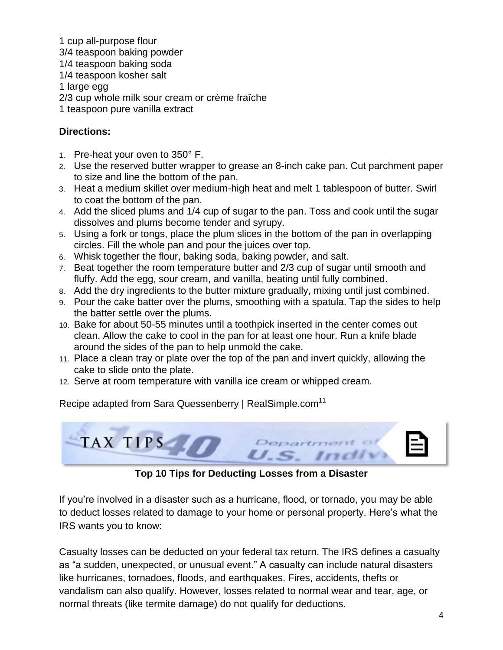1 cup all-purpose flour 3/4 teaspoon baking powder 1/4 teaspoon baking soda 1/4 teaspoon kosher salt 1 large egg 2/3 cup whole milk sour cream or crème fraîche 1 teaspoon pure vanilla extract

# **Directions:**

- 1. Pre-heat your oven to 350° F.
- 2. Use the reserved butter wrapper to grease an 8-inch cake pan. Cut parchment paper to size and line the bottom of the pan.
- 3. Heat a medium skillet over medium-high heat and melt 1 tablespoon of butter. Swirl to coat the bottom of the pan.
- 4. Add the sliced plums and 1/4 cup of sugar to the pan. Toss and cook until the sugar dissolves and plums become tender and syrupy.
- 5. Using a fork or tongs, place the plum slices in the bottom of the pan in overlapping circles. Fill the whole pan and pour the juices over top.
- 6. Whisk together the flour, baking soda, baking powder, and salt.
- 7. Beat together the room temperature butter and 2/3 cup of sugar until smooth and fluffy. Add the egg, sour cream, and vanilla, beating until fully combined.
- 8. Add the dry ingredients to the butter mixture gradually, mixing until just combined.
- 9. Pour the cake batter over the plums, smoothing with a spatula. Tap the sides to help the batter settle over the plums.
- 10. Bake for about 50-55 minutes until a toothpick inserted in the center comes out clean. Allow the cake to cool in the pan for at least one hour. Run a knife blade around the sides of the pan to help unmold the cake.
- 11. Place a clean tray or plate over the top of the pan and invert quickly, allowing the cake to slide onto the plate.
- 12. Serve at room temperature with vanilla ice cream or whipped cream.

Recipe adapted from Sara Quessenberry | RealSimple.com<sup>11</sup>



**Top 10 Tips for Deducting Losses from a Disaster**

If you're involved in a disaster such as a hurricane, flood, or tornado, you may be able to deduct losses related to damage to your home or personal property. Here's what the IRS wants you to know:

Casualty losses can be deducted on your federal tax return. The IRS defines a casualty as "a sudden, unexpected, or unusual event." A casualty can include natural disasters like hurricanes, tornadoes, floods, and earthquakes. Fires, accidents, thefts or vandalism can also qualify. However, losses related to normal wear and tear, age, or normal threats (like termite damage) do not qualify for deductions.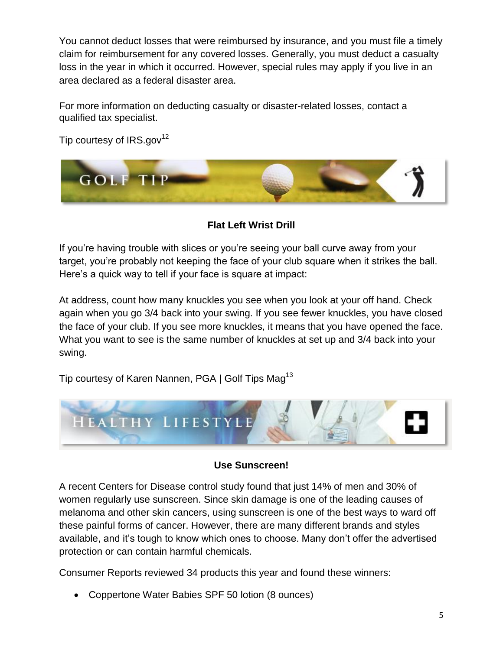You cannot deduct losses that were reimbursed by insurance, and you must file a timely claim for reimbursement for any covered losses. Generally, you must deduct a casualty loss in the year in which it occurred. However, special rules may apply if you live in an area declared as a federal disaster area.

For more information on deducting casualty or disaster-related losses, contact a qualified tax specialist.

Tip courtesy of  $IRS.gov^{12}$ 



**Flat Left Wrist Drill**

If you're having trouble with slices or you're seeing your ball curve away from your target, you're probably not keeping the face of your club square when it strikes the ball. Here's a quick way to tell if your face is square at impact:

At address, count how many knuckles you see when you look at your off hand. Check again when you go 3/4 back into your swing. If you see fewer knuckles, you have closed the face of your club. If you see more knuckles, it means that you have opened the face. What you want to see is the same number of knuckles at set up and 3/4 back into your swing.

Tip courtesy of Karen Nannen, PGA | Golf Tips Mag<sup>13</sup>



# **Use Sunscreen!**

A recent Centers for Disease control study found that just 14% of men and 30% of women regularly use sunscreen. Since skin damage is one of the leading causes of melanoma and other skin cancers, using sunscreen is one of the best ways to ward off these painful forms of cancer. However, there are many different brands and styles available, and it's tough to know which ones to choose. Many don't offer the advertised protection or can contain harmful chemicals.

Consumer Reports reviewed 34 products this year and found these winners:

Coppertone Water Babies SPF 50 lotion (8 ounces)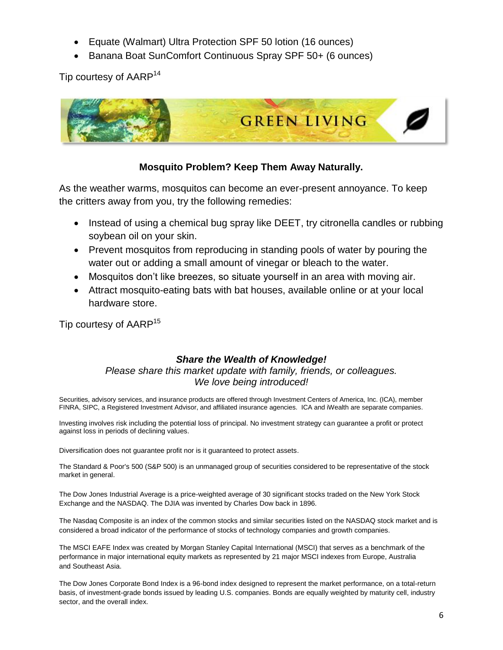- Equate (Walmart) Ultra Protection SPF 50 lotion (16 ounces)
- Banana Boat SunComfort Continuous Spray SPF 50+ (6 ounces)

Tip courtesy of AARP<sup>14</sup>



# **Mosquito Problem? Keep Them Away Naturally.**

As the weather warms, mosquitos can become an ever-present annoyance. To keep the critters away from you, try the following remedies:

- Instead of using a chemical bug spray like DEET, try citronella candles or rubbing soybean oil on your skin.
- Prevent mosquitos from reproducing in standing pools of water by pouring the water out or adding a small amount of vinegar or bleach to the water.
- Mosquitos don't like breezes, so situate yourself in an area with moving air.
- Attract mosquito-eating bats with bat houses, available online or at your local hardware store.

Tip courtesy of AARP<sup>15</sup>

# *Share the Wealth of Knowledge!*

#### *Please share this market update with family, friends, or colleagues. We love being introduced!*

Securities, advisory services, and insurance products are offered through Investment Centers of America, Inc. (ICA), member FINRA, SIPC, a Registered Investment Advisor, and affiliated insurance agencies. ICA and iWealth are separate companies.

Investing involves risk including the potential loss of principal. No investment strategy can guarantee a profit or protect against loss in periods of declining values.

Diversification does not guarantee profit nor is it guaranteed to protect assets.

The Standard & Poor's 500 (S&P 500) is an unmanaged group of securities considered to be representative of the stock market in general.

The Dow Jones Industrial Average is a price-weighted average of 30 significant stocks traded on the New York Stock Exchange and the NASDAQ. The DJIA was invented by Charles Dow back in 1896.

The Nasdaq Composite is an index of the common stocks and similar securities listed on the NASDAQ stock market and is considered a broad indicator of the performance of stocks of technology companies and growth companies.

The MSCI EAFE Index was created by Morgan Stanley Capital International (MSCI) that serves as a benchmark of the performance in major international equity markets as represented by 21 major MSCI indexes from Europe, Australia and Southeast Asia.

The Dow Jones Corporate Bond Index is a 96-bond index designed to represent the market performance, on a total-return basis, of investment-grade bonds issued by leading U.S. companies. Bonds are equally weighted by maturity cell, industry sector, and the overall index.